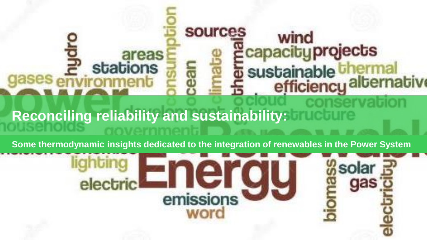# **sources** wind capacity projects<br>sustainable thermal<br>efficiency alternative areas stations **Reconciling reliability and sustainability:**

**Some thermodynamic insights dedicated to the integration of renewables in the Power System** 

 $\rightarrow$ 

emissions

word

electric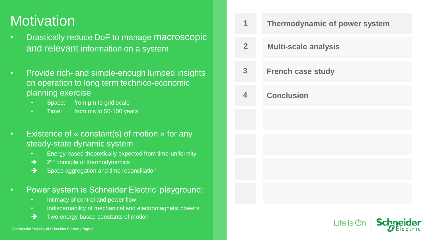#### **Motivation**

- Drastically reduce DoF to manage macroscopic and relevant information on a system
- Provide rich- and simple-enough lumped insights on operation to long term technico-economic planning exercise
	- Space: from um to grid scale
	- Time: from ms to 50-100 years
- Existence of « constant(s) of motion » for any steady-state dynamic system
	- Energy-based theoretically expected from time-uniformity
	- → 2<sup>nd</sup> principle of thermodynamics
	- ➔ Space aggregation and time reconciliation
- Power system is Schneider Electric' playground:
	- Intimacy of control and power flow
	- Indiscernability of mechanical and electromagnetic powers
	- ➔ Two energy-based constants of motion

| 1                       | Thermodynamic of power system             |
|-------------------------|-------------------------------------------|
| $\overline{2}$          | <b>Multi-scale analysis</b>               |
| 3                       | <b>French case study</b>                  |
| $\overline{\mathbf{4}}$ | <b>Conclusion</b>                         |
|                         |                                           |
|                         |                                           |
|                         |                                           |
|                         |                                           |
|                         | <b>Schneider</b><br>Life Is $\mathbb{O}n$ |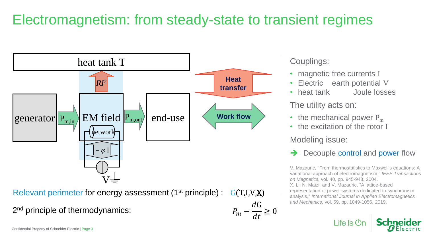# Electromagnetism: from steady-state to transient regimes

 $P_m-$ 

 $dG$ 

 $dt$ 



Relevant perimeter for energy assessment (1<sup>st</sup> principle) :  $G(T,I,V,X)$ 

2<sup>nd</sup> principle of thermodynamics:  $P_m - \frac{dQ}{dt} \geq 0$ 

Couplings:

- magnetic free currents I
- Electric earth potential V
- heat tank Joule losses

The utility acts on:

- the mechanical power  $P_m$
- the excitation of the rotor I

Modeling issue:

Decouple control and power flow

V. Mazauric, "From thermostatistics to Maxwell's equations: A variational approach of electromagnetism," *IEEE Transactions on Magnetics,* vol. 40, pp. 945-948, 2004. X. Li, N. Maïzi, and V. Mazauric, "A lattice-based representation of power systems dedicated to synchronism analysis," *International Journal in Applied Electromagnetics and Mechanics,* vol. 59, pp. 1049-1056, 2019.

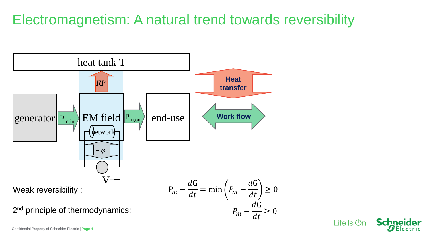## Electromagnetism: A natural trend towards reversibility



Life Is  $Or$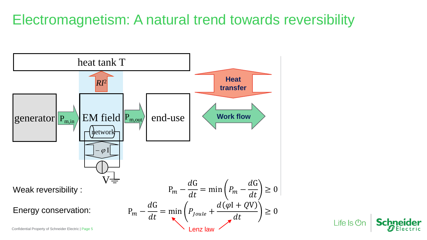### Electromagnetism: A natural trend towards reversibility

Life  $\mathsf{ls}\,\mathsf{Or}$ 

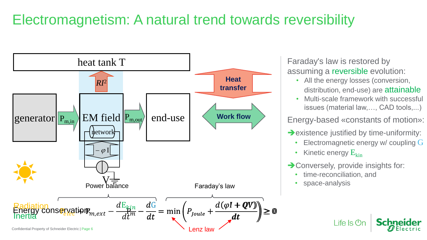## Electromagnetism: A natural trend towards reversibility



Faraday's law is restored by assuming a reversible evolution:

- All the energy losses (conversion, distribution, end-use) are attainable
- Multi-scale framework with successful issues (material law,…, CAD tools,...)

Energy-based «constants of motion»:

- **→**existence justified by time-uniformity:
	- Electromagnetic energy w/ coupling G
	- Kinetic energy  $E_{kin}$
- **→ Conversely, provide insights for:**

 $L$ ife Is  $O<sub>r</sub>$ 

- time-reconciliation, and
- space-analysis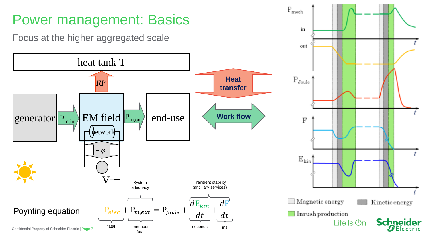

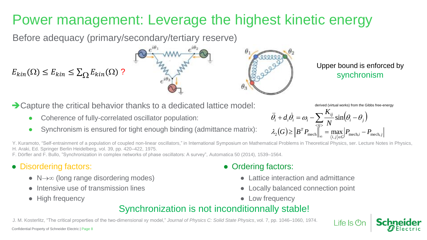# Power management: Leverage the highest kinetic energy

Before adequacy (primary/secondary/tertiary reserve)

 $E_{kin}(\Omega) \le E_{kin} \le \sum_{\Omega} E_{kin}(\Omega)$ ?

**→ Capture the critical behavior thanks to a dedicated lattice model:** 

- Coherence of fully-correlated oscillator population:
- Synchronism is ensured for tight enough binding (admittance matrix):

Upper bound is enforced by synchronism

derived (virtual works) from the Gibbs free-energy

 $\parallel$  ife  $\parallel$ s (<sup>I</sup>)

$$
\ddot{\theta}_{i} + d_{i}\dot{\theta}_{i} = \omega_{i} - \sum_{\substack{\langle ij \rangle \\ \langle i,j \rangle \in G}} \frac{K_{ij}}{N} \sin \left(\theta_{i} - \theta_{j}\right)
$$

$$
\lambda_{2}(G) \geq \left\| B^{T} P_{\text{mech}} \right\|_{\infty}^{3} = \max_{\langle i,j \rangle \in G} \left| P_{\text{mech},i} - P_{\text{mech},j} \right|
$$

Y. Kuramoto, "Self-entrainment of a population of coupled non-linear oscillators," in International Symposium on Mathematical Problems in Theoretical Physics, ser. Lecture Notes in Physics, H. Araki, Ed. Springer Berlin Heidelberg, vol. 39, pp. 420–422, 1975.

F. Dörfler and F. Bullo, "Synchronization in complex networks of phase oscillators: A survey", Automatica 50 (2014), 1539–1564.

#### • Disordering factors:

- $\bullet$  N $\rightarrow \infty$  (long range disordering modes)
- Intensive use of transmission lines
- High frequency

#### • Ordering factors:

- Lattice interaction and admittance
- **Locally balanced connection point**
- Low frequency

#### Synchronization is not inconditionnally stable!

J. M. Kosterlitz, "The critical properties of the two-dimensional xy model," *Journal of Physics C: Solid State Physics*, vol. 7, pp. 1046–1060, 1974.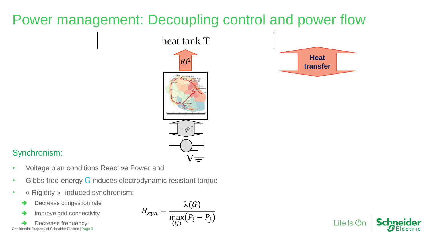#### Power management: Decoupling control and power flow



#### Synchronism:

- Voltage plan conditions Reactive Power and
- Gibbs free-energy  $G$  induces electrodynamic resistant torque
- « Rigidity » -induced synchronism:
	- **→** Decrease congestion rate
	- **→** Improve grid connectivity

Decrease frequency Confidential Property of Schneider Electric | Page 9

$$
H_{syn} = \frac{\lambda(G)}{\max_{\{ij\}}(P_i - P_j)}
$$

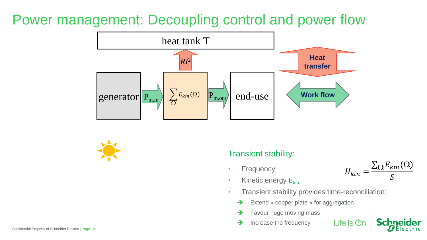#### Power management: Decoupling control and power flow





#### Transient stability:

- Frequency
- Kinetic energy  $E_{kin}$



- Transient stability provides time-reconciliation:
	- ➔ Extend « copper plate » for aggregation
	- Favour huge moving mass
	- **→** Increase the frequency



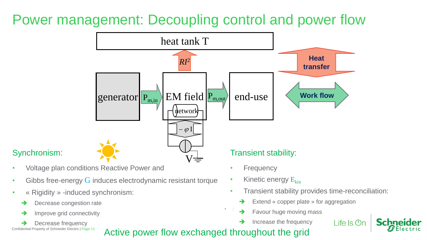#### Power management: Decoupling control and power flow



#### • Voltage plan conditions Reactive Power and

- Gibbs free-energy  $G$  induces electrodynamic resistant torque
- « Rigidity » -induced synchronism:
	- Decrease congestion rate
	- **→** Improve grid connectivity
- Decrease frequency Property of Schneider Electric | Page 11

Synchronism:

- 
- Frequency
- Kinetic energy  $E_{kin}$
- Transient stability provides time-reconciliation:
	- ➔ Extend « copper plate » for aggregation
	- Favour huge moving mass
	- Increase the frequency
- Life  $\mathsf{ls}\,\mathsf{On}$



Active power flow exchanged throughout the grid

 $\bullet$  : : :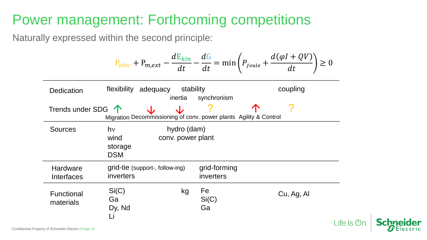#### Power management: Forthcoming competitions

Naturally expressed within the second principle:

| $P_{elec} + P_{m,ext} - \frac{dE_{kin}}{dt} - \frac{dG}{dt} = \min\left(P_{Joule} + \frac{d(\varphi I + QV)}{dt}\right) \ge 0$ |                                        |                   |                   |
|--------------------------------------------------------------------------------------------------------------------------------|----------------------------------------|-------------------|-------------------|
| Dedication                                                                                                                     | flexibility                            | stability         | coupling          |
| Trends under SDG                                                                                                               | Neumannissioning of conv. power plants | Agility & Control |                   |
| Sources                                                                                                                        | hv                                     | hydro (dam)       | conv. power plant |
| storage                                                                                                                        | DSM                                    |                   |                   |
| Hardware                                                                                                                       | grid-tie (support-, follow-ing)        | grid-forming      |                   |
| Interfaces                                                                                                                     | invertex                               | invertex          |                   |
| Functional                                                                                                                     | Si(C)                                  | kg                | Fe                |
| Cu, Ag, Al                                                                                                                     | Ga                                     |                   |                   |
| materials                                                                                                                      | Do, Nd                                 | Ga                |                   |
| Li                                                                                                                             | Li                                     |                   |                   |

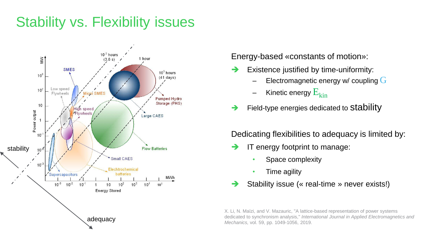## Stability vs. Flexibility issues



Energy-based «constants of motion»:

- Existence justified by time-uniformity:
	- Electromagnetic energy w/ coupling  $G$
	- Kinetic energy  $\rm E_{kin}$
- $\rightarrow$  Field-type energies dedicated to Stability

Dedicating flexibilities to adequacy is limited by:

- IT energy footprint to manage:
	- Space complexity
	- Time agility
- Stability issue (« real-time » never exists!)

X. Li, N. Maïzi, and V. Mazauric, "A lattice-based representation of power systems dedicated to synchronism analysis," *International Journal in Applied Electromagnetics and Mechanics,* vol. 59, pp. 1049-1056, 2019.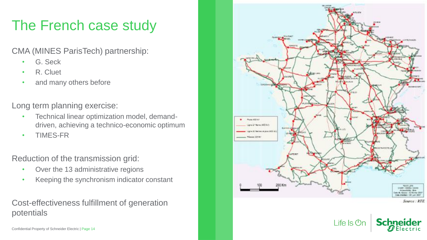# The French case study

CMA (MINES ParisTech) partnership:

- G. Seck
- R. Cluet
- and many others before

Long term planning exercise:

- Technical linear optimization model, demanddriven, achieving a technico-economic optimum
- TIMES-FR

Reduction of the transmission grid:

- Over the 13 administrative regions
- Keeping the synchronism indicator constant

#### Cost-effectiveness fulfillment of generation potentials

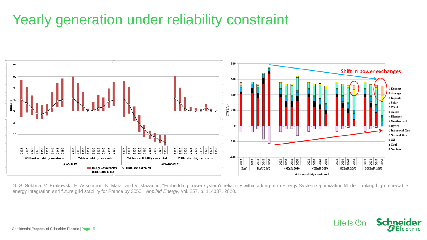#### Yearly generation under reliability constraint



G.-S. Sokhna, V. Krakowski, E. Assoumou, N. Maïzi, and V. Mazauric, "Embedding power system's reliability within a long-term Energy System Optimization Model: Linking high renewable energy integration and future grid stability for France by 2050," *Applied Energy,* vol. 257, p. 114037, 2020.

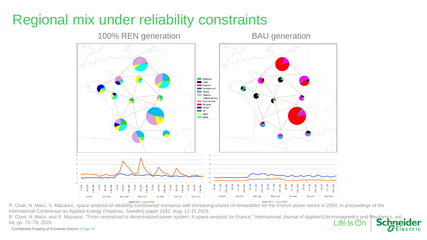## Regional mix under reliability constraints



R. Cluet, N. Maïzi, V. Mazauric, space analysis of reliability-constrained scenarios with increasing shares of renewables for the French power sector in 2050, in proceedings of the International Conference on Applied Energy (Vasteras, Sweden) paper 1091, Aug. 12-15 2019.

R. Cluet, N. Maïzi, and V. Mazauric, "From centralized to decentralized power system: A space-analysis for France," *International Journal of Applied Electromagnetics and Mechanics*, vol. 64, pp. 73–78, 2020. Life Is On

Confidential Property of Schneider Electric | Page 16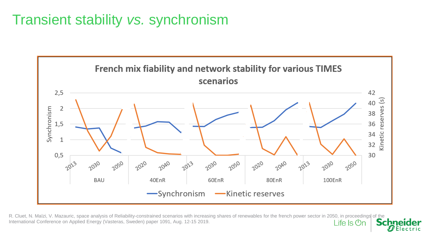### Transient stability *vs.* synchronism



R. Cluet, N. Maïzi, V. Mazauric, space analysis of Reliability-constrained scenarios with increasing shares of renewables for the french power sector in 2050, in proceedings of the International Conference on Applied Energ International Conference on Applied Energy (Vasteras, Sweden) paper 1091, Aug. 12-15 2019.Life  $\mathsf{ls}\,\mathsf{On}$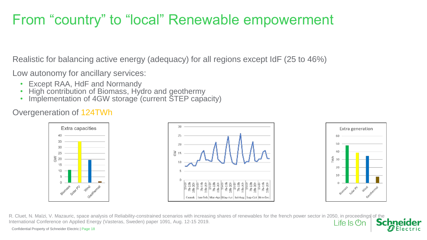### From "country" to "local" Renewable empowerment

Realistic for balancing active energy (adequacy) for all regions except IdF (25 to 46%)

Low autonomy for ancillary services:

- Except RAA, HdF and Normandy
- High contribution of Biomass, Hydro and geothermy
- Implementation of 4GW storage (current STEP capacity)

#### Overgeneration of 124TWh





R. Cluet, N. Maïzi, V. Mazauric, space analysis of Reliability-constrained scenarios with increasing shares of renewables for the french power sector in 2050, in proceedings of the International Conference on Applied Energy (Vasteras, Sweden) paper 1091, Aug. 12-15 2019.Life  $\mathsf{ls}$   $\mathsf{Or}$ 

Confidential Property of Schneider Electric | Page 18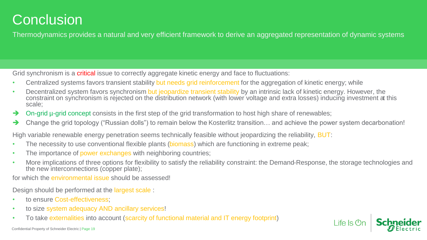#### **Conclusion**

Thermodynamics provides a natural and very efficient framework to derive an aggregated representation of dynamic systems

Grid synchronism is a **critical** issue to correctly aggregate kinetic energy and face to fluctuations:

- Centralized systems favors transient stability but needs grid reinforcement for the aggregation of kinetic energy; while
- Decentralized system favors synchronism but jeopardize transient stability by an intrinsic lack of kinetic energy. However, the constraint on synchronism is rejected on the distribution network (with lower voltage and extra losses) inducing investment at this scale;
- ➔ On-grid µ-grid concept consists in the first step of the grid transformation to host high share of renewables;
- → Change the grid topology ("Russian dolls") to remain below the Kosterlitz transition... and achieve the power system decarbonation!

High variable renewable energy penetration seems technically feasible without jeopardizing the reliability, BUT:

- The necessity to use conventional flexible plants (biomass) which are functioning in extreme peak;
- The importance of power exchanges with neighboring countries;
- More implications of three options for flexibility to satisfy the reliability constraint: the Demand-Response, the storage technologies and the new interconnections (copper plate);

for which the environmental issue should be assessed!

Design should be performed at the largest scale :

- to ensure Cost-effectiveness:
- to size system adequacy AND ancillary services!
- To take externalities into account (scarcity of functional material and IT energy footprint)